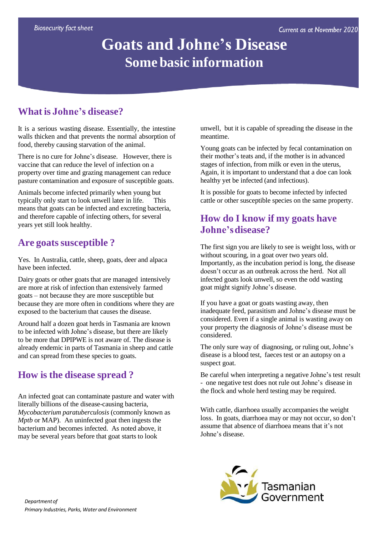# **Goats and Johne's Disease Some basic information**

## **What is Johne's disease?**

It is a serious wasting disease. Essentially, the intestine walls thicken and that prevents the normal absorption of food, thereby causing starvation of the animal.

There is no cure for Johne's disease. However, there is vaccine that can reduce the level of infection on a property over time and grazing management can reduce pasture contamination and exposure of susceptible goats.

Animals become infected primarily when young but typically only start to look unwell later in life. This means that goats can be infected and excreting bacteria, and therefore capable of infecting others, for several years yet still look healthy.

#### **Are goatssusceptible ?**

Yes. In Australia, cattle, sheep, goats, deer and alpaca have been infected.

Dairy goats or other goats that are managed intensively are more at risk of infection than extensively farmed goats – not because they are more susceptible but because they are more often in conditions where they are exposed to the bacterium that causes the disease.

Around half a dozen goat herds in Tasmania are known to be infected with Johne's disease, but there are likely to be more that DPIPWE is not aware of. The disease is already endemic in parts of Tasmania in sheep and cattle and can spread from these species to goats.

#### **How is the disease spread ?**

An infected goat can contaminate pasture and water with literally billions of the disease-causing bacteria, *Mycobacterium paratuberculosis* (commonly known as *Mptb* or MAP). An uninfected goat then ingests the bacterium and becomes infected. As noted above, it may be several years before that goat starts to look

unwell, but it is capable of spreading the disease in the meantime.

Young goats can be infected by fecal contamination on their mother's teats and, if the mother is in advanced stages of infection, from milk or even in the uterus, Again, it is important to understand that a doe can look healthy yet be infected (and infectious).

It is possible for goats to become infected by infected cattle or other susceptible species on the same property.

#### **How do I know if my goats have Johne'sdisease?**

The first sign you are likely to see is weight loss, with or without scouring, in a goat over two years old. Importantly, as the incubation period is long, the disease doesn't occur as an outbreak across the herd. Not all infected goats look unwell, so even the odd wasting goat might signify Johne's disease.

If you have a goat or goats wasting away, then inadequate feed, parasitism and Johne's disease must be considered. Even if a single animal is wasting away on your property the diagnosis of Johne's disease must be considered.

The only sure way of diagnosing, or ruling out, Johne's disease is a blood test, faeces test or an autopsy on a suspect goat.

Be careful when interpreting a negative Johne's test result - one negative test does not rule out Johne's disease in the flock and whole herd testing may be required.

With cattle, diarrhoea usually accompanies the weight loss. In goats, diarrhoea may or may not occur, so don't assume that absence of diarrhoea means that it's not Johne's disease.

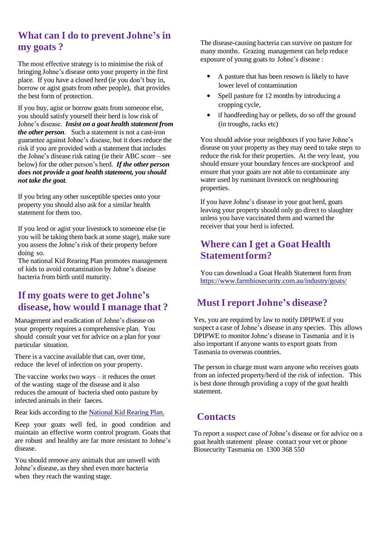## **What can I do to prevent Johne's in my goats ?**

The most effective strategy is to minimise the risk of bringing Johne's disease onto your property in the first place. If you have a closed herd (ie you don't buy in, borrow or agist goats from other people), that provides the best form of protection.

If you buy, agist or borrow goats from someone else, you should satisfy yourself their herd is low risk of Johne's disease. *Insist on a goat health statement from the other person*. Such a statement is not a cast-iron guarantee against Johne's disease, but it does reduce the risk if you are provided with a statement that includes the Johne's disease risk rating (ie their ABC score – see below) for the other person's herd. *If the other person does not provide a goat health statement, you should not take the goat*.

If you bring any other susceptible species onto your property you should also ask for a similar health statement for them too.

If you lend or agist your livestock to someone else (ie you will be taking them back at some stage), make sure you assess the Johne's risk of their property before doing so.

The national Kid Rearing Plan promotes management of kids to avoid contamination by Johne's disease bacteria from birth until maturity.

#### **If my goats were to get Johne's disease, how would I manage that ?**

Management and eradication of Johne's disease on your property requires a comprehensive plan. You should consult your vet for advice on a plan for your particular situation.

There is a vaccine available that can, over time, reduce the level of infection on your property.

The vaccine works two ways – it reduces the onset of the wasting stage of the disease and it also reduces the amount of bacteria shed onto pasture by infected animals in their faeces.

Rear kids according to the [National](https://www.animalhealthaustralia.com.au/what-we-do/endemic-disease/goat-health/goat-national-kid-rearing-plan/) Kid Rearing Plan.

Keep your goats well fed, in good condition and maintain an effective worm control program. Goats that are robust and healthy are far more resistant to Johne's disease.

You should remove any animals that are unwell with Johne's disease, as they shed even more bacteria when they reach the wasting stage.

The disease-causing bacteria can survive on pasture for many months. Grazing management can help reduce exposure of young goats to Johne's disease :

- $\bullet$  A pasture that has been resown is likely to have lower level of contamination
- Spell pasture for 12 months by introducing a cropping cycle,
- if handfeeding hay or pellets, do so off the ground (in troughs, racks etc)

You should advise your neighbours if you have Johne's disease on your property as they may need to take steps to reduce the risk for their properties. At the very least, you should ensure your boundary fences are stockproof and ensure that your goats are not able to contaminate any water used by ruminant livestock on neighbouring properties.

If you have Johne's disease in your goat herd, goats leaving your property should only go direct to slaughter unless you have vaccinated them and warned the receiver that your herd is infected.

#### **Where can I get a Goat Health Statementform?**

You can download a Goat Health Statement form from <https://www.farmbiosecurity.com.au/industry/goats/>

## **MustI report Johne's disease?**

Yes, you are required by law to notify DPIPWE if you suspect a case of Johne's disease in any species. This allows DPIPWE to monitor Johne's disease in Tasmania and it is also important if anyone wants to export goats from Tasmania to overseas countries.

The person in charge must warn anyone who receives goats from an infected property/herd of the risk of infection. This is best done through providing a copy of the goat health statement.

## **Contacts**

To report a suspect case of Johne's disease or for advice on a goat health statement please contact your vet or phone Biosecurity Tasmania on 1300 368 550